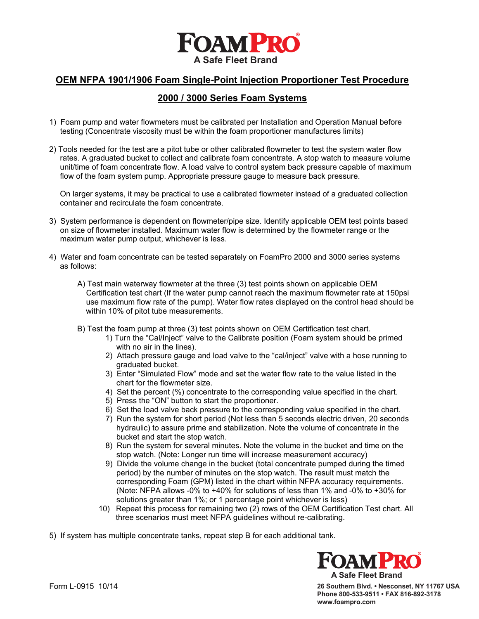

#### **OEM NFPA 1901/1906 Foam Single-Point Injection Proportioner Test Procedure**

#### **2000 / 3000 Series Foam Systems**

- 1) Foam pump and water flowmeters must be calibrated per Installation and Operation Manual before testing (Concentrate viscosity must be within the foam proportioner manufactures limits)
- 2) Tools needed for the test are a pitot tube or other calibrated flowmeter to test the system water flow rates. A graduated bucket to collect and calibrate foam concentrate. A stop watch to measure volume unit/time of foam concentrate flow. A load valve to control system back pressure capable of maximum flow of the foam system pump. Appropriate pressure gauge to measure back pressure.

 On larger systems, it may be practical to use a calibrated flowmeter instead of a graduated collection container and recirculate the foam concentrate.

- 3) System performance is dependent on flowmeter/pipe size. Identify applicable OEM test points based on size of flowmeter installed. Maximum water flow is determined by the flowmeter range or the maximum water pump output, whichever is less.
- 4) Water and foam concentrate can be tested separately on FoamPro 2000 and 3000 series systems as follows:
	- A) Test main waterway flowmeter at the three (3) test points shown on applicable OEM Certification test chart (If the water pump cannot reach the maximum flowmeter rate at 150psi use maximum flow rate of the pump). Water flow rates displayed on the control head should be within 10% of pitot tube measurements.
	- B) Test the foam pump at three (3) test points shown on OEM Certification test chart.
		- 1) Turn the "Cal/Inject" valve to the Calibrate position (Foam system should be primed with no air in the lines).
		- 2) Attach pressure gauge and load valve to the "cal/inject" valve with a hose running to graduated bucket.
		- 3) Enter "Simulated Flow" mode and set the water flow rate to the value listed in the chart for the flowmeter size.
		- 4) Set the percent (%) concentrate to the corresponding value specified in the chart.
		- 5) Press the "ON" button to start the proportioner.
		- 6) Set the load valve back pressure to the corresponding value specified in the chart.
		- 7) Run the system for short period (Not less than 5 seconds electric driven, 20 seconds hydraulic) to assure prime and stabilization. Note the volume of concentrate in the bucket and start the stop watch.
		- 8) Run the system for several minutes. Note the volume in the bucket and time on the stop watch. (Note: Longer run time will increase measurement accuracy)
		- 9) Divide the volume change in the bucket (total concentrate pumped during the timed period) by the number of minutes on the stop watch. The result must match the corresponding Foam (GPM) listed in the chart within NFPA accuracy requirements. (Note: NFPA allows -0% to +40% for solutions of less than 1% and -0% to +30% for solutions greater than 1%; or 1 percentage point whichever is less)
		- 10) Repeat this process for remaining two (2) rows of the OEM Certification Test chart. All three scenarios must meet NFPA guidelines without re-calibrating.

5) If system has multiple concentrate tanks, repeat step B for each additional tank.